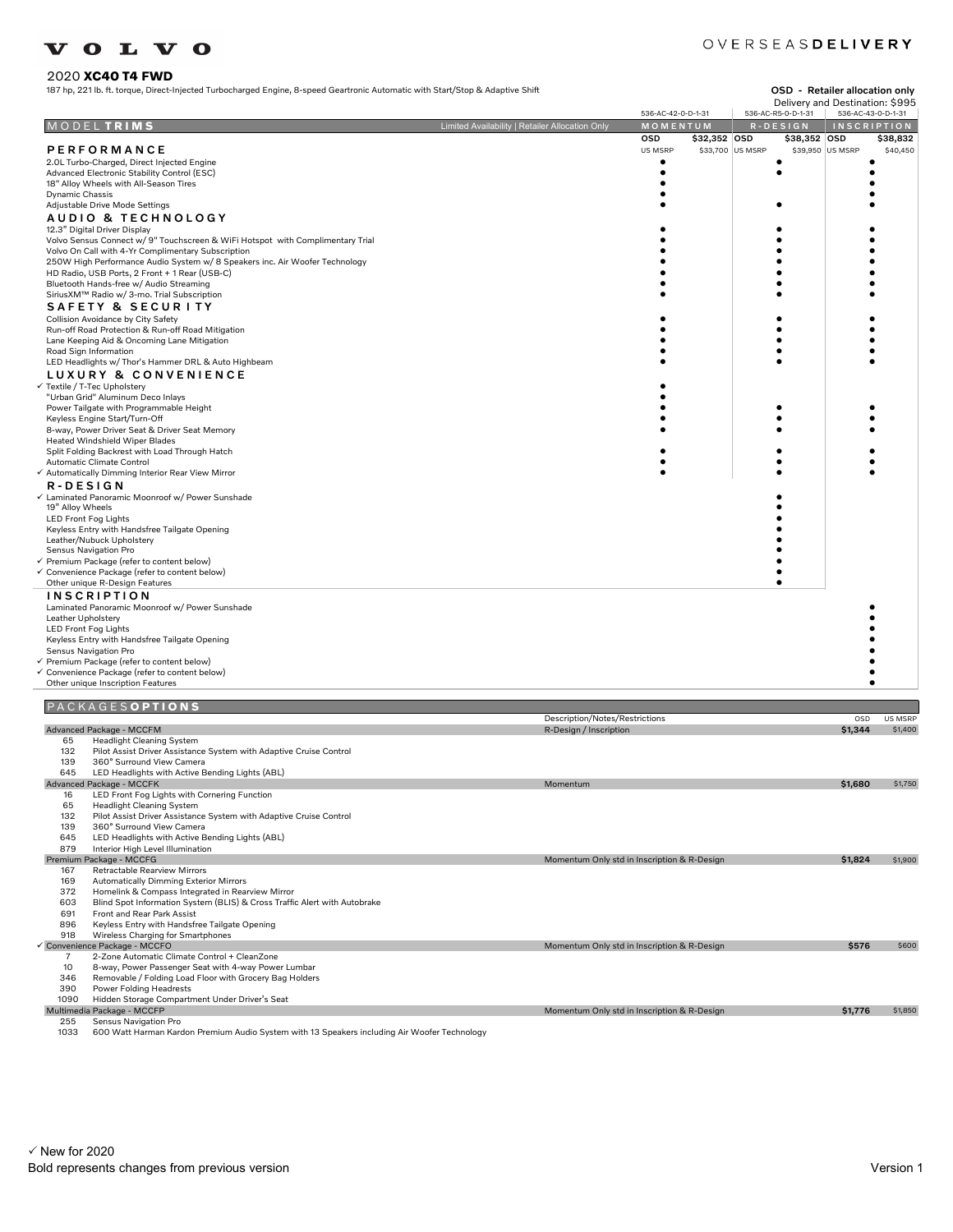#### 2020 **XC40 T4 FWD**

187 hp, 221 b. ft. torque, Direct-Injected Turbocharged Engine, 8-speed Geartronic Automatic with Start/Stop & Adaptive Shift OSD - Retailer allocation on lateration on lateration on lateration on lateration on lateration

#### OVERSEASDELIVERY

| osb - | Retailer allocation only        |  |
|-------|---------------------------------|--|
|       | Delivery and Destination: \$995 |  |

|                                                                                                                | Delivery and Destination: 5995<br>536-AC-R5-0-D-1-31<br>536-AC-42-0-D-1-31 |            |              |                  |                   |                  | 536-AC-43-0-D-1-31 |
|----------------------------------------------------------------------------------------------------------------|----------------------------------------------------------------------------|------------|--------------|------------------|-------------------|------------------|--------------------|
| MODELTRIMS                                                                                                     | Limited Availability   Retailer Allocation Only                            | MOMENTUM   |              |                  | $R - D E S I G N$ |                  | <b>INSCRIPTION</b> |
|                                                                                                                |                                                                            | <b>OSD</b> | \$32,352 OSD |                  | \$38,352 OSD      |                  | \$38,832           |
| PERFORMANCE                                                                                                    |                                                                            | US MSRP    |              | \$33,700 US MSRP |                   | \$39,950 US MSRP | \$40,450           |
| 2.0L Turbo-Charged, Direct Injected Engine                                                                     |                                                                            |            |              |                  |                   |                  |                    |
| Advanced Electronic Stability Control (ESC)                                                                    |                                                                            | $\bullet$  |              |                  |                   |                  |                    |
| 18" Alloy Wheels with All-Season Tires                                                                         |                                                                            |            |              |                  |                   |                  |                    |
| Dynamic Chassis                                                                                                |                                                                            |            |              |                  |                   |                  |                    |
| Adjustable Drive Mode Settings                                                                                 |                                                                            |            |              |                  |                   |                  |                    |
| AUDIO & TECHNOLOGY                                                                                             |                                                                            |            |              |                  |                   |                  |                    |
| 12.3" Digital Driver Display<br>Volvo Sensus Connect w/ 9" Touchscreen & WiFi Hotspot with Complimentary Trial |                                                                            |            |              |                  |                   |                  |                    |
| Volvo On Call with 4-Yr Complimentary Subscription                                                             |                                                                            |            |              |                  |                   |                  |                    |
| 250W High Performance Audio System w/ 8 Speakers inc. Air Woofer Technology                                    |                                                                            |            |              |                  |                   |                  |                    |
| HD Radio, USB Ports, 2 Front + 1 Rear (USB-C)                                                                  |                                                                            |            |              |                  |                   |                  |                    |
| Bluetooth Hands-free w/ Audio Streaming                                                                        |                                                                            |            |              |                  |                   |                  |                    |
| SiriusXM™ Radio w/ 3-mo. Trial Subscription                                                                    |                                                                            |            |              |                  |                   |                  |                    |
| SAFETY & SECURITY                                                                                              |                                                                            |            |              |                  |                   |                  |                    |
| Collision Avoidance by City Safety                                                                             |                                                                            |            |              |                  |                   |                  |                    |
| Run-off Road Protection & Run-off Road Mitigation                                                              |                                                                            |            |              |                  |                   |                  |                    |
| Lane Keeping Aid & Oncoming Lane Mitigation<br>Road Sign Information                                           |                                                                            |            |              |                  |                   |                  |                    |
| LED Headlights w/ Thor's Hammer DRL & Auto Highbeam                                                            |                                                                            |            |              |                  |                   |                  |                    |
| LUXURY & CONVENIENCE                                                                                           |                                                                            |            |              |                  |                   |                  |                    |
| Textile / T-Tec Upholstery                                                                                     |                                                                            |            |              |                  |                   |                  |                    |
| "Urban Grid" Aluminum Deco Inlays                                                                              |                                                                            |            |              |                  |                   |                  |                    |
| Power Tailgate with Programmable Height                                                                        |                                                                            |            |              |                  |                   |                  |                    |
| Keyless Engine Start/Turn-Off                                                                                  |                                                                            |            |              |                  |                   |                  |                    |
| 8-way, Power Driver Seat & Driver Seat Memory                                                                  |                                                                            |            |              |                  |                   |                  |                    |
| Heated Windshield Wiper Blades                                                                                 |                                                                            |            |              |                  |                   |                  |                    |
| Split Folding Backrest with Load Through Hatch<br>Automatic Climate Control                                    |                                                                            |            |              |                  |                   |                  |                    |
| Automatically Dimming Interior Rear View Mirror                                                                |                                                                            |            |              |                  |                   |                  |                    |
| R-DESIGN                                                                                                       |                                                                            |            |              |                  |                   |                  |                    |
| Laminated Panoramic Moonroof w/ Power Sunshade                                                                 |                                                                            |            |              |                  |                   |                  |                    |
| 19" Alloy Wheels                                                                                               |                                                                            |            |              |                  |                   |                  |                    |
| LED Front Fog Lights                                                                                           |                                                                            |            |              |                  |                   |                  |                    |
| Keyless Entry with Handsfree Tailgate Opening                                                                  |                                                                            |            |              |                  |                   |                  |                    |
| Leather/Nubuck Upholstery<br>Sensus Navigation Pro                                                             |                                                                            |            |              |                  |                   |                  |                    |
| Premium Package (refer to content below)                                                                       |                                                                            |            |              |                  |                   |                  |                    |
| Convenience Package (refer to content below)                                                                   |                                                                            |            |              |                  |                   |                  |                    |
| Other unique R-Design Features                                                                                 |                                                                            |            |              |                  | $\bullet$         |                  |                    |
| <b>INSCRIPTION</b>                                                                                             |                                                                            |            |              |                  |                   |                  |                    |
| Laminated Panoramic Moonroof w/ Power Sunshade                                                                 |                                                                            |            |              |                  |                   |                  |                    |
| Leather Upholstery                                                                                             |                                                                            |            |              |                  |                   |                  |                    |
| LED Front Fog Lights                                                                                           |                                                                            |            |              |                  |                   |                  |                    |
| Keyless Entry with Handsfree Tailgate Opening                                                                  |                                                                            |            |              |                  |                   |                  |                    |
| Sensus Navigation Pro                                                                                          |                                                                            |            |              |                  |                   |                  |                    |
| Premium Package (refer to content below)<br>Convenience Package (refer to content below)                       |                                                                            |            |              |                  |                   |                  |                    |
| Other unique Inscription Features                                                                              |                                                                            |            |              |                  |                   |                  |                    |
|                                                                                                                |                                                                            |            |              |                  |                   |                  |                    |
| PACKAGESOPTIONS                                                                                                |                                                                            |            |              |                  |                   |                  |                    |
|                                                                                                                | Description/Notes/Restrictions                                             |            |              |                  |                   | OSD              | US MSRP            |
| Advanced Package - MCCFM                                                                                       | R-Design / Inscription                                                     |            |              |                  |                   | \$1.344          | \$1,400            |
| <b>Headlight Cleaning System</b><br>65<br>132                                                                  |                                                                            |            |              |                  |                   |                  |                    |
| Pilot Assist Driver Assistance System with Adaptive Cruise Control<br>139<br>360° Surround View Camera         |                                                                            |            |              |                  |                   |                  |                    |
| 645<br>LED Headlights with Active Bending Lights (ABL)                                                         |                                                                            |            |              |                  |                   |                  |                    |
| Advanced Package - MCCFK                                                                                       | Momentum                                                                   |            |              |                  |                   | \$1,680          | \$1,750            |
| 16<br>LED Front Fog Lights with Cornering Function                                                             |                                                                            |            |              |                  |                   |                  |                    |
| 65<br><b>Headlight Cleaning System</b>                                                                         |                                                                            |            |              |                  |                   |                  |                    |
| 132<br>Pilot Assist Driver Assistance System with Adaptive Cruise Control                                      |                                                                            |            |              |                  |                   |                  |                    |
| 139<br>360° Surround View Camera<br>645                                                                        |                                                                            |            |              |                  |                   |                  |                    |
| LED Headlights with Active Bending Lights (ABL)<br>879<br>Interior High Level Illumination                     |                                                                            |            |              |                  |                   |                  |                    |
| Premium Package - MCCFG                                                                                        | Momentum Only std in Inscription & R-Design                                |            |              |                  |                   | \$1,824          | \$1,900            |
| Datasatakta D<br>107                                                                                           |                                                                            |            |              |                  |                   |                  |                    |

167 Retractable Rearview Mirrors<br>169 Automatically Dimming Exter

169 Automatically Dimming Exterior Mirrors 372 Homelink & Compass Integrated in Rearview Mirror

603 Blind Spot Information System (BLIS) & Cross Traffic Alert with Autobrake

691 Front and Rear Park Assist 896 Keyless Entry with Handsfree Tailgate Opening

918 Wireless Charging for Smartphones

no winclude and manufactured and manufactured the manufactured of the manufactured and manufactured and manufactured the manufactured of the manufactured of the manufactured of the manufactured of the manufactured of the m The Communic Climate Control + CleanZone<br>
7 2-Zone Automatic Climate Control + CleanZone<br>
10 8-way, Power Passenger Seat with 4-way Powe

10 8-way, Power Passenger Seat with 4-way Power Lumbar 346 Removable / Folding Load Floor with Grocery Bag Holders

390 Power Folding Headrests

1090 Hidden Storage Compartment Under Driver's Seat Multimedia Package - MCCFP Momentum Only std in Inscription & R-Design \$1,776 \$1,850

255 Sensus Navigation Pro 1033 600 Watt Harman Kardon Premium Audio System with 13 Speakers including Air Woofer Technology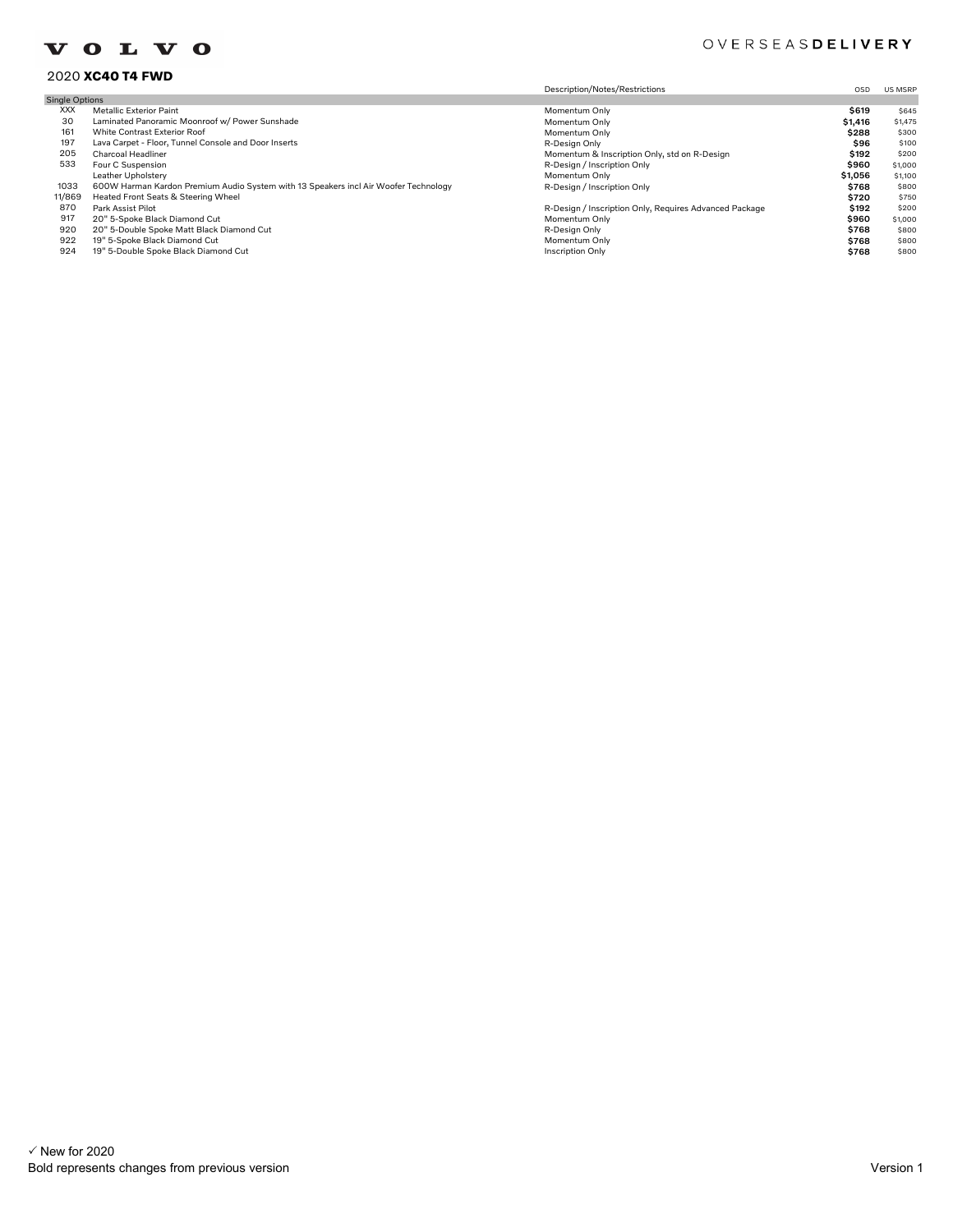#### OVERSEASDELIVERY

#### 2020 **XC40 T4 FWD**

|                       | ZUZU AG4U 14 FWU                                                                    |                                                        |         |         |
|-----------------------|-------------------------------------------------------------------------------------|--------------------------------------------------------|---------|---------|
|                       |                                                                                     | Description/Notes/Restrictions                         | OSD     | US MSRP |
| <b>Single Options</b> |                                                                                     |                                                        |         |         |
| <b>XXX</b>            | <b>Metallic Exterior Paint</b>                                                      | Momentum Only                                          | \$619   | \$645   |
| 30                    | Laminated Panoramic Moonroof w/ Power Sunshade                                      | Momentum Only                                          | \$1,416 | \$1,475 |
| 161                   | White Contrast Exterior Roof                                                        | Momentum Only                                          | \$288   | \$300   |
| 197                   | Lava Carpet - Floor, Tunnel Console and Door Inserts                                | R-Design Only                                          | \$96    | \$100   |
| 205                   | <b>Charcoal Headliner</b>                                                           | Momentum & Inscription Only, std on R-Design           | \$192   | \$200   |
| 533                   | Four C Suspension                                                                   | R-Design / Inscription Only                            | \$960   | \$1,000 |
|                       | Leather Upholstery                                                                  | Momentum Only                                          | \$1,056 | \$1,100 |
| 1033                  | 600W Harman Kardon Premium Audio System with 13 Speakers incl Air Woofer Technology | R-Design / Inscription Only                            | \$768   | \$800   |
| 11/869                | Heated Front Seats & Steering Wheel                                                 |                                                        | \$720   | \$750   |
| 870                   | Park Assist Pilot                                                                   | R-Design / Inscription Only, Requires Advanced Package | \$192   | \$200   |
| 917                   | 20" 5-Spoke Black Diamond Cut                                                       | Momentum Only                                          | \$960   | \$1,000 |
| 920                   | 20" 5-Double Spoke Matt Black Diamond Cut                                           | R-Design Only                                          | \$768   | \$800   |
| 922                   | 19" 5-Spoke Black Diamond Cut                                                       | Momentum Only                                          | \$768   | \$800   |
| 924                   | 19" 5-Double Spoke Black Diamond Cut                                                | <b>Inscription Only</b>                                | \$768   | \$800   |
|                       |                                                                                     |                                                        |         |         |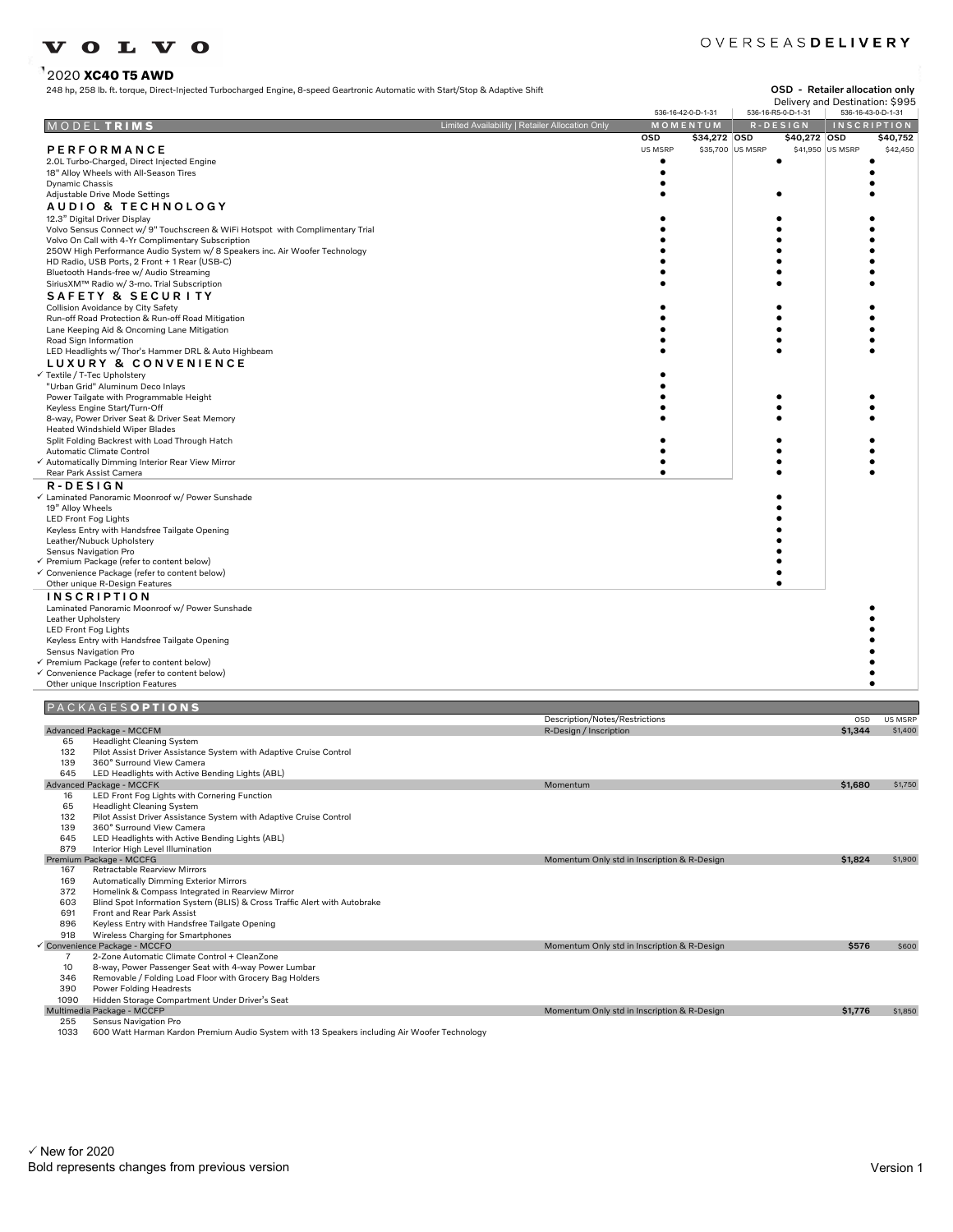## 2020 **XC40 T5 AWD**

#### OVERSEASDELIVERY

|                    | 248 hp, 258 lb. ft. torque, Direct-Injected Turbocharged Engine, 8-speed Geartronic Automatic with Start/Stop & Adaptive Shift |                                                                                              |                                             |              |                  | OSD - Retailer allocation only                                              |                  |                    |
|--------------------|--------------------------------------------------------------------------------------------------------------------------------|----------------------------------------------------------------------------------------------|---------------------------------------------|--------------|------------------|-----------------------------------------------------------------------------|------------------|--------------------|
|                    |                                                                                                                                |                                                                                              | 536-16-42-0-D-1-31                          |              |                  | Delivery and Destination: \$995<br>536-16-R5-0-D-1-31<br>536-16-43-0-D-1-31 |                  |                    |
|                    | MODELTRIMS                                                                                                                     | Limited Availability   Retailer Allocation Only                                              |                                             | MOMENTUM     |                  | $R - D E S I G N$                                                           |                  | <b>INSCRIPTION</b> |
|                    |                                                                                                                                |                                                                                              | OSD                                         | \$34,272 OSD |                  | \$40,272 OSD                                                                |                  | \$40,752           |
|                    | PERFORMANCE                                                                                                                    |                                                                                              | US MSRP                                     |              | \$35,700 US MSRP |                                                                             | \$41,950 US MSRP | \$42,450           |
|                    | 2.0L Turbo-Charged, Direct Injected Engine<br>18" Alloy Wheels with All-Season Tires                                           |                                                                                              | ٠<br>٠                                      |              |                  |                                                                             |                  |                    |
| Dynamic Chassis    |                                                                                                                                |                                                                                              |                                             |              |                  |                                                                             |                  |                    |
|                    | Adjustable Drive Mode Settings                                                                                                 |                                                                                              |                                             |              |                  |                                                                             |                  |                    |
|                    | AUDIO & TECHNOLOGY                                                                                                             |                                                                                              |                                             |              |                  |                                                                             |                  |                    |
|                    | 12.3" Digital Driver Display<br>Volvo Sensus Connect w/ 9" Touchscreen & WiFi Hotspot with Complimentary Trial                 |                                                                                              |                                             |              |                  |                                                                             |                  |                    |
|                    | Volvo On Call with 4-Yr Complimentary Subscription                                                                             |                                                                                              |                                             |              |                  |                                                                             |                  |                    |
|                    | 250W High Performance Audio System w/ 8 Speakers inc. Air Woofer Technology                                                    |                                                                                              |                                             |              |                  |                                                                             |                  |                    |
|                    | HD Radio, USB Ports, 2 Front + 1 Rear (USB-C)                                                                                  |                                                                                              |                                             |              |                  |                                                                             |                  |                    |
|                    | Bluetooth Hands-free w/ Audio Streaming<br>SiriusXM™ Radio w/ 3-mo. Trial Subscription                                         |                                                                                              |                                             |              |                  |                                                                             |                  |                    |
|                    | SAFETY & SECURITY                                                                                                              |                                                                                              |                                             |              |                  |                                                                             |                  |                    |
|                    | Collision Avoidance by City Safety                                                                                             |                                                                                              |                                             |              |                  |                                                                             |                  |                    |
|                    | Run-off Road Protection & Run-off Road Mitigation                                                                              |                                                                                              |                                             |              |                  |                                                                             |                  |                    |
|                    | Lane Keeping Aid & Oncoming Lane Mitigation<br>Road Sign Information                                                           |                                                                                              |                                             |              |                  |                                                                             |                  |                    |
|                    | LED Headlights w/ Thor's Hammer DRL & Auto Highbeam                                                                            |                                                                                              |                                             |              |                  |                                                                             |                  |                    |
|                    | LUXURY & CONVENIENCE                                                                                                           |                                                                                              |                                             |              |                  |                                                                             |                  |                    |
|                    | √ Textile / T-Tec Upholstery                                                                                                   |                                                                                              |                                             |              |                  |                                                                             |                  |                    |
|                    | "Urban Grid" Aluminum Deco Inlays<br>Power Tailgate with Programmable Height                                                   |                                                                                              |                                             |              |                  |                                                                             |                  |                    |
|                    | Keyless Engine Start/Turn-Off                                                                                                  |                                                                                              |                                             |              |                  |                                                                             |                  |                    |
|                    | 8-way, Power Driver Seat & Driver Seat Memory                                                                                  |                                                                                              |                                             |              |                  |                                                                             |                  |                    |
|                    | <b>Heated Windshield Wiper Blades</b><br>Split Folding Backrest with Load Through Hatch                                        |                                                                                              |                                             |              |                  |                                                                             |                  |                    |
|                    | Automatic Climate Control                                                                                                      |                                                                                              |                                             |              |                  |                                                                             |                  |                    |
|                    | √ Automatically Dimming Interior Rear View Mirror                                                                              |                                                                                              |                                             |              |                  |                                                                             |                  |                    |
|                    | Rear Park Assist Camera                                                                                                        |                                                                                              |                                             |              |                  |                                                                             |                  |                    |
| R-DESIGN           | √ Laminated Panoramic Moonroof w/ Power Sunshade                                                                               |                                                                                              |                                             |              |                  |                                                                             |                  |                    |
| 19" Alloy Wheels   |                                                                                                                                |                                                                                              |                                             |              |                  |                                                                             |                  |                    |
|                    | LED Front Fog Lights                                                                                                           |                                                                                              |                                             |              |                  |                                                                             |                  |                    |
|                    | Keyless Entry with Handsfree Tailgate Opening                                                                                  |                                                                                              |                                             |              |                  |                                                                             |                  |                    |
|                    | Leather/Nubuck Upholstery<br>Sensus Navigation Pro                                                                             |                                                                                              |                                             |              |                  |                                                                             |                  |                    |
|                    | ← Premium Package (refer to content below)                                                                                     |                                                                                              |                                             |              |                  |                                                                             |                  |                    |
|                    | ← Convenience Package (refer to content below)                                                                                 |                                                                                              |                                             |              |                  |                                                                             |                  |                    |
|                    | Other unique R-Design Features<br><b>INSCRIPTION</b>                                                                           |                                                                                              |                                             |              |                  |                                                                             |                  |                    |
|                    | Laminated Panoramic Moonroof w/ Power Sunshade                                                                                 |                                                                                              |                                             |              |                  |                                                                             |                  |                    |
| Leather Upholstery |                                                                                                                                |                                                                                              |                                             |              |                  |                                                                             |                  |                    |
|                    | LED Front Fog Lights                                                                                                           |                                                                                              |                                             |              |                  |                                                                             |                  |                    |
|                    | Keyless Entry with Handsfree Tailgate Opening<br>Sensus Navigation Pro                                                         |                                                                                              |                                             |              |                  |                                                                             |                  |                    |
|                    | ← Premium Package (refer to content below)                                                                                     |                                                                                              |                                             |              |                  |                                                                             |                  |                    |
|                    | ✓ Convenience Package (refer to content below)                                                                                 |                                                                                              |                                             |              |                  |                                                                             |                  |                    |
|                    | Other unique Inscription Features                                                                                              |                                                                                              |                                             |              |                  |                                                                             |                  |                    |
|                    | PACKAGESOPTIONS                                                                                                                |                                                                                              |                                             |              |                  |                                                                             |                  |                    |
|                    |                                                                                                                                | Description/Notes/Restrictions                                                               |                                             |              |                  |                                                                             | OSD              | US MSRP            |
|                    | Advanced Package - MCCFM                                                                                                       | R-Design / Inscription                                                                       |                                             |              |                  |                                                                             | \$1,344          | \$1,400            |
| 65<br>132          | <b>Headlight Cleaning System</b><br>Pilot Assist Driver Assistance System with Adaptive Cruise Control                         |                                                                                              |                                             |              |                  |                                                                             |                  |                    |
| 139                | 360° Surround View Camera                                                                                                      |                                                                                              |                                             |              |                  |                                                                             |                  |                    |
| 645                | LED Headlights with Active Bending Lights (ABL)                                                                                |                                                                                              |                                             |              |                  |                                                                             |                  |                    |
| vance              | Package - MCCFK                                                                                                                |                                                                                              |                                             |              |                  |                                                                             |                  |                    |
| 16<br>65           | LED Front Fog Lights with Cornering Function<br><b>Headlight Cleaning System</b>                                               |                                                                                              |                                             |              |                  |                                                                             |                  |                    |
| 132                | Pilot Assist Driver Assistance System with Adaptive Cruise Control                                                             |                                                                                              |                                             |              |                  |                                                                             |                  |                    |
| 139                | 360° Surround View Camera                                                                                                      |                                                                                              |                                             |              |                  |                                                                             |                  |                    |
| 645<br>879         | LED Headlights with Active Bending Lights (ABL)<br>Interior High Level Illumination                                            |                                                                                              |                                             |              |                  |                                                                             |                  |                    |
| Premium            | Package - MCCFG                                                                                                                |                                                                                              | Momentum Only std in Inscription & R-Design |              |                  |                                                                             | \$1,824          | \$1,900            |
| 167                | Retractable Rearview Mirrors                                                                                                   |                                                                                              |                                             |              |                  |                                                                             |                  |                    |
| 169<br>372         | <b>Automatically Dimming Exterior Mirrors</b><br>Homelink & Compass Integrated in Rearview Mirror                              |                                                                                              |                                             |              |                  |                                                                             |                  |                    |
| 603                | Blind Spot Information System (BLIS) & Cross Traffic Alert with Autobrake                                                      |                                                                                              |                                             |              |                  |                                                                             |                  |                    |
| 691                | Front and Rear Park Assist                                                                                                     |                                                                                              |                                             |              |                  |                                                                             |                  |                    |
| 896                | Keyless Entry with Handsfree Tailgate Opening                                                                                  |                                                                                              |                                             |              |                  |                                                                             |                  |                    |
| 918                | Wireless Charging for Smartphones<br>Convenience Package - MCCFO                                                               |                                                                                              | Momentum Only std in Inscription & R-Design |              |                  |                                                                             | \$576            | \$600              |
| $\overline{7}$     | 2-Zone Automatic Climate Control + CleanZone                                                                                   |                                                                                              |                                             |              |                  |                                                                             |                  |                    |
| 10                 | 8-way, Power Passenger Seat with 4-way Power Lumbar                                                                            |                                                                                              |                                             |              |                  |                                                                             |                  |                    |
| 346<br>390         | Removable / Folding Load Floor with Grocery Bag Holders<br>Power Folding Headrests                                             |                                                                                              |                                             |              |                  |                                                                             |                  |                    |
| 1090               | Hidden Storage Compartment Under Driver's Seat                                                                                 |                                                                                              |                                             |              |                  |                                                                             |                  |                    |
|                    | Multimedia Package - MCCFP                                                                                                     |                                                                                              | Momentum Only std in Inscription & R-Design |              |                  |                                                                             | \$1,776          | \$1,850            |
| 255                | Sensus Navigation Pro                                                                                                          | 600 Watt Harman Kardon Premium Audio System with 13 Speakers including Air Woofer Technology |                                             |              |                  |                                                                             |                  |                    |